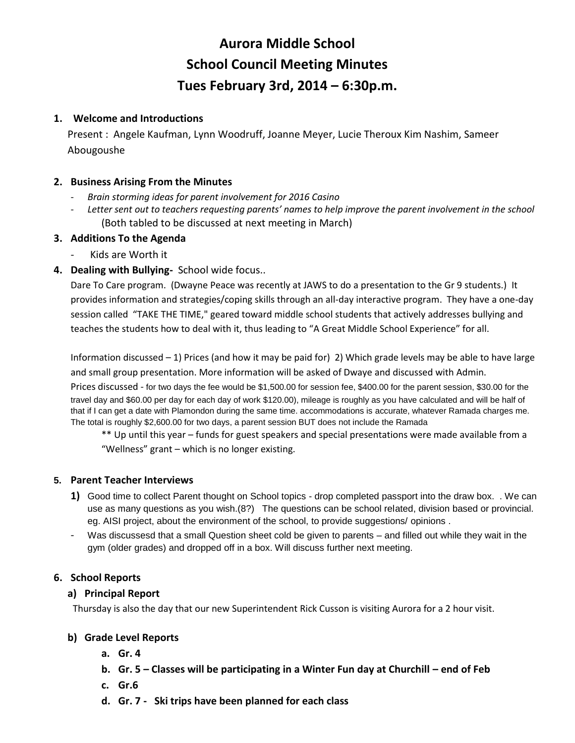# **Aurora Middle School School Council Meeting Minutes Tues February 3rd, 2014 – 6:30p.m.**

# **1. Welcome and Introductions**

Present : Angele Kaufman, Lynn Woodruff, Joanne Meyer, Lucie Theroux Kim Nashim, Sameer Abougoushe

### **2. Business Arising From the Minutes**

- *Brain storming ideas for parent involvement for 2016 Casino*
- *Letter sent out to teachers requesting parents' names to help improve the parent involvement in the school* (Both tabled to be discussed at next meeting in March)

### **3. Additions To the Agenda**

- Kids are Worth it
- **4. Dealing with Bullying-** School wide focus..

Dare To Care program. (Dwayne Peace was recently at JAWS to do a presentation to the Gr 9 students.) It provides information and strategies/coping skills through an all-day interactive program. They have a one-day session called "TAKE THE TIME," geared toward middle school students that actively addresses bullying and teaches the students how to deal with it, thus leading to "A Great Middle School Experience" for all.

Information discussed – 1) Prices (and how it may be paid for) 2) Which grade levels may be able to have large and small group presentation. More information will be asked of Dwaye and discussed with Admin.

Prices discussed - for two days the fee would be \$1,500.00 for session fee, \$400.00 for the parent session, \$30.00 for the travel day and \$60.00 per day for each day of work \$120.00), mileage is roughly as you have calculated and will be half of that if I can get a date with Plamondon during the same time. accommodations is accurate, whatever Ramada charges me. The total is roughly \$2,600.00 for two days, a parent session BUT does not include the Ramada

\*\* Up until this year – funds for guest speakers and special presentations were made available from a "Wellness" grant – which is no longer existing.

#### **5. Parent Teacher Interviews**

- **1)** Good time to collect Parent thought on School topics drop completed passport into the draw box. . We can use as many questions as you wish.(8?) The questions can be school related, division based or provincial. eg. AISI project, about the environment of the school, to provide suggestions/ opinions .
- Was discussesd that a small Question sheet cold be given to parents and filled out while they wait in the gym (older grades) and dropped off in a box. Will discuss further next meeting.

# **6. School Reports**

#### **a) Principal Report**

Thursday is also the day that our new Superintendent Rick Cusson is visiting Aurora for a 2 hour visit.

#### **b) Grade Level Reports**

- **a. Gr. 4**
- **b. Gr. 5 – Classes will be participating in a Winter Fun day at Churchill – end of Feb**
- **c. Gr.6**
- **d. Gr. 7 Ski trips have been planned for each class**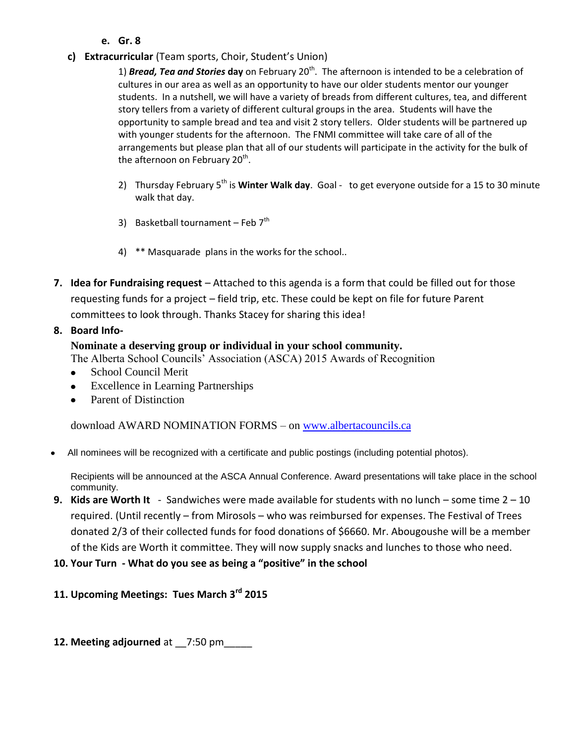- **e. Gr. 8**
- **c) Extracurricular** (Team sports, Choir, Student's Union)

1) **Bread, Tea and Stories day** on February 20<sup>th</sup>. The afternoon is intended to be a celebration of cultures in our area as well as an opportunity to have our older students mentor our younger students. In a nutshell, we will have a variety of breads from different cultures, tea, and different story tellers from a variety of different cultural groups in the area. Students will have the opportunity to sample bread and tea and visit 2 story tellers. Older students will be partnered up with younger students for the afternoon. The FNMI committee will take care of all of the arrangements but please plan that all of our students will participate in the activity for the bulk of the afternoon on February 20<sup>th</sup>.

- 2) Thursday February 5<sup>th</sup> is **Winter Walk day**. Goal to get everyone outside for a 15 to 30 minute walk that day.
- 3) Basketball tournament Feb  $7<sup>th</sup>$
- 4) \*\* Masquarade plans in the works for the school..
- **7. Idea for Fundraising request**  Attached to this agenda is a form that could be filled out for those requesting funds for a project – field trip, etc. These could be kept on file for future Parent committees to look through. Thanks Stacey for sharing this idea!

# **8. Board Info-**

# **Nominate a deserving group or individual in your school community.**

The Alberta School Councils' Association (ASCA) 2015 Awards of Recognition

- School Council Merit
- Excellence in Learning Partnerships
- Parent of Distinction

download AWARD NOMINATION FORMS – on [www.albertacouncils.ca](http://www.albertacouncils.ca/)

All nominees will be recognized with a certificate and public postings (including potential photos).

Recipients will be announced at the ASCA Annual Conference. Award presentations will take place in the school community.

- **9. Kids are Worth It**  Sandwiches were made available for students with no lunch some time 2 10 required. (Until recently – from Mirosols – who was reimbursed for expenses. The Festival of Trees donated 2/3 of their collected funds for food donations of \$6660. Mr. Abougoushe will be a member of the Kids are Worth it committee. They will now supply snacks and lunches to those who need.
- **10. Your Turn - What do you see as being a "positive" in the school**
- **11. Upcoming Meetings: Tues March 3rd 2015**
- **12. Meeting adjourned** at \_\_7:50 pm\_\_\_\_\_